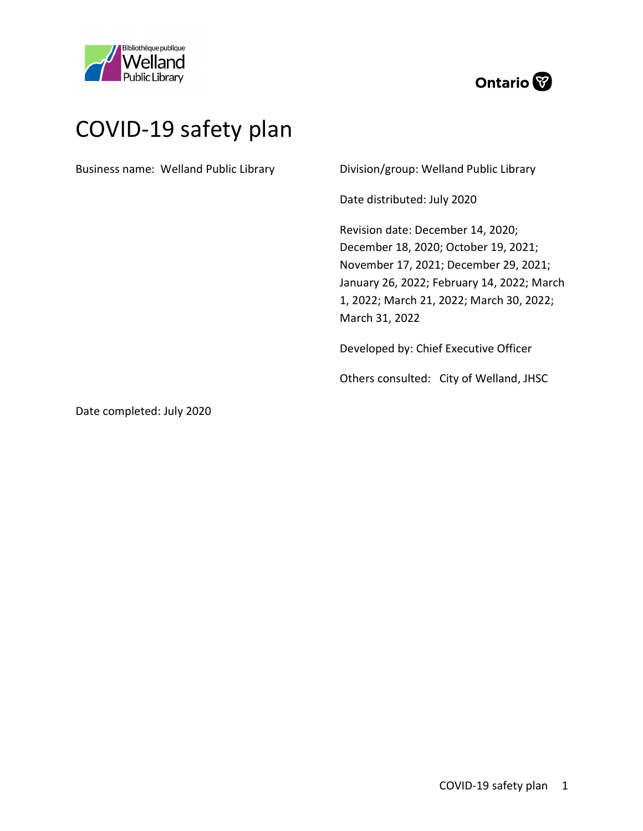



# COVID-19 safety plan

Business name: Welland Public Library

Division/group: Welland Public Library

Date distributed: July 2020

Revision date: December 14, 2020; December 18, 2020; October 19, 2021; November 17, 2021; December 29, 2021; January 26, 2022; February 14, 2022; March 1, 2022; March 21, 2022; March 30, 2022; March 31, 2022

Developed by: Chief Executive Officer

Others consulted: City of Welland, JHSC

Date completed: July 2020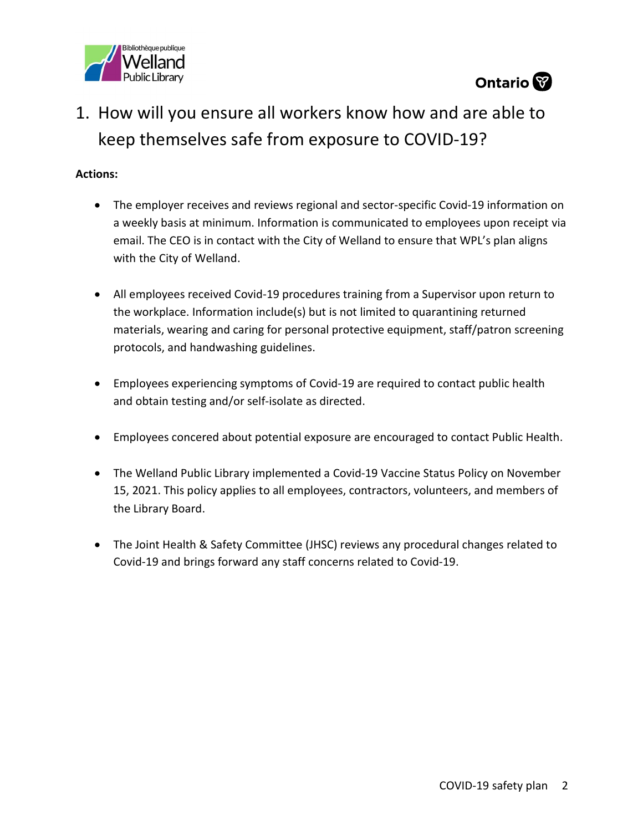



## 1. How will you ensure all workers know how and are able to keep themselves safe from exposure to COVID-19?

- The employer receives and reviews regional and sector-specific Covid-19 information on a weekly basis at minimum. Information is communicated to employees upon receipt via email. The CEO is in contact with the City of Welland to ensure that WPL's plan aligns with the City of Welland.
- All employees received Covid-19 procedures training from a Supervisor upon return to the workplace. Information include(s) but is not limited to quarantining returned materials, wearing and caring for personal protective equipment, staff/patron screening protocols, and handwashing guidelines.
- Employees experiencing symptoms of Covid-19 are required to contact public health and obtain testing and/or self-isolate as directed.
- Employees concered about potential exposure are encouraged to contact Public Health.
- The Welland Public Library implemented a Covid-19 Vaccine Status Policy on November 15, 2021. This policy applies to all employees, contractors, volunteers, and members of the Library Board.
- The Joint Health & Safety Committee (JHSC) reviews any procedural changes related to Covid-19 and brings forward any staff concerns related to Covid-19.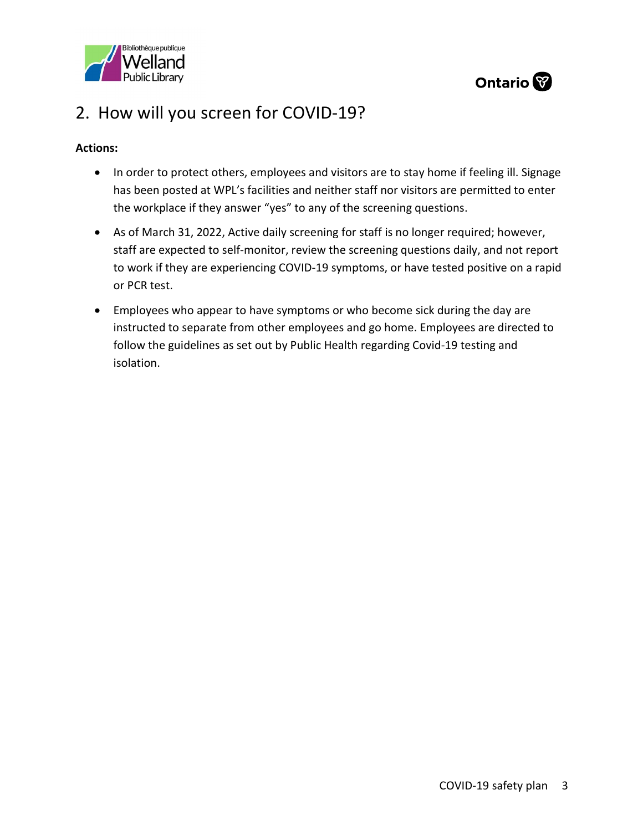



### 2. How will you screen for COVID-19?

- In order to protect others, employees and visitors are to stay home if feeling ill. Signage has been posted at WPL's facilities and neither staff nor visitors are permitted to enter the workplace if they answer "yes" to any of the screening questions.
- As of March 31, 2022, Active daily screening for staff is no longer required; however, staff are expected to self-monitor, review the screening questions daily, and not report to work if they are experiencing COVID-19 symptoms, or have tested positive on a rapid or PCR test.
- Employees who appear to have symptoms or who become sick during the day are instructed to separate from other employees and go home. Employees are directed to follow the guidelines as set out by Public Health regarding Covid-19 testing and isolation.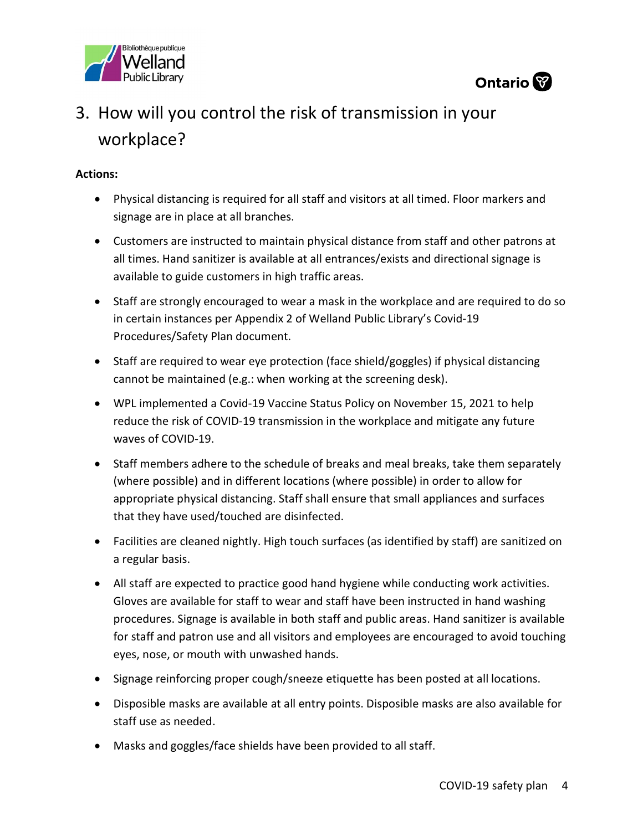



# 3. How will you control the risk of transmission in your workplace?

- Physical distancing is required for all staff and visitors at all timed. Floor markers and signage are in place at all branches.
- Customers are instructed to maintain physical distance from staff and other patrons at all times. Hand sanitizer is available at all entrances/exists and directional signage is available to guide customers in high traffic areas.
- Staff are strongly encouraged to wear a mask in the workplace and are required to do so in certain instances per Appendix 2 of Welland Public Library's Covid-19 Procedures/Safety Plan document.
- Staff are required to wear eye protection (face shield/goggles) if physical distancing cannot be maintained (e.g.: when working at the screening desk).
- WPL implemented a Covid-19 Vaccine Status Policy on November 15, 2021 to help reduce the risk of COVID-19 transmission in the workplace and mitigate any future waves of COVID-19.
- Staff members adhere to the schedule of breaks and meal breaks, take them separately (where possible) and in different locations (where possible) in order to allow for appropriate physical distancing. Staff shall ensure that small appliances and surfaces that they have used/touched are disinfected.
- Facilities are cleaned nightly. High touch surfaces (as identified by staff) are sanitized on a regular basis.
- All staff are expected to practice good hand hygiene while conducting work activities. Gloves are available for staff to wear and staff have been instructed in hand washing procedures. Signage is available in both staff and public areas. Hand sanitizer is available for staff and patron use and all visitors and employees are encouraged to avoid touching eyes, nose, or mouth with unwashed hands.
- Signage reinforcing proper cough/sneeze etiquette has been posted at all locations.
- Disposible masks are available at all entry points. Disposible masks are also available for staff use as needed.
- Masks and goggles/face shields have been provided to all staff.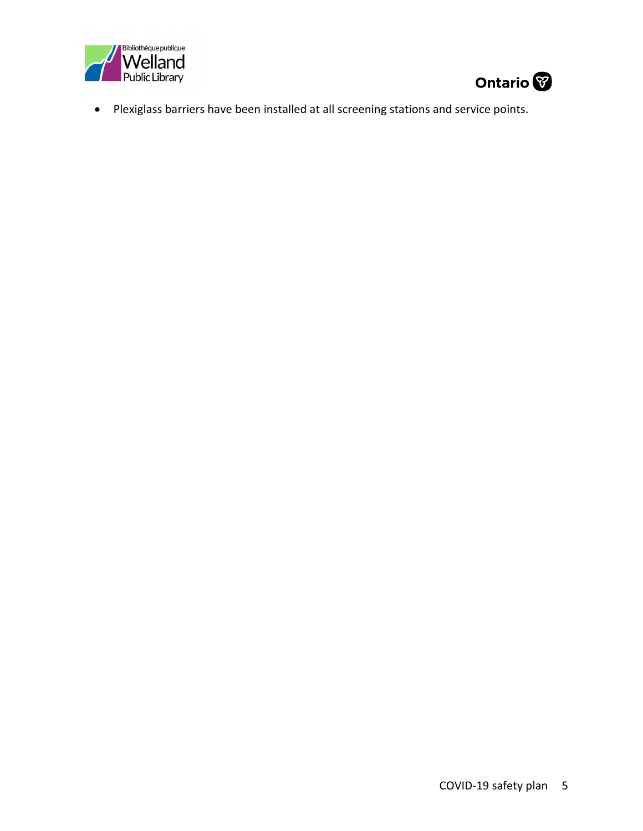



Plexiglass barriers have been installed at all screening stations and service points.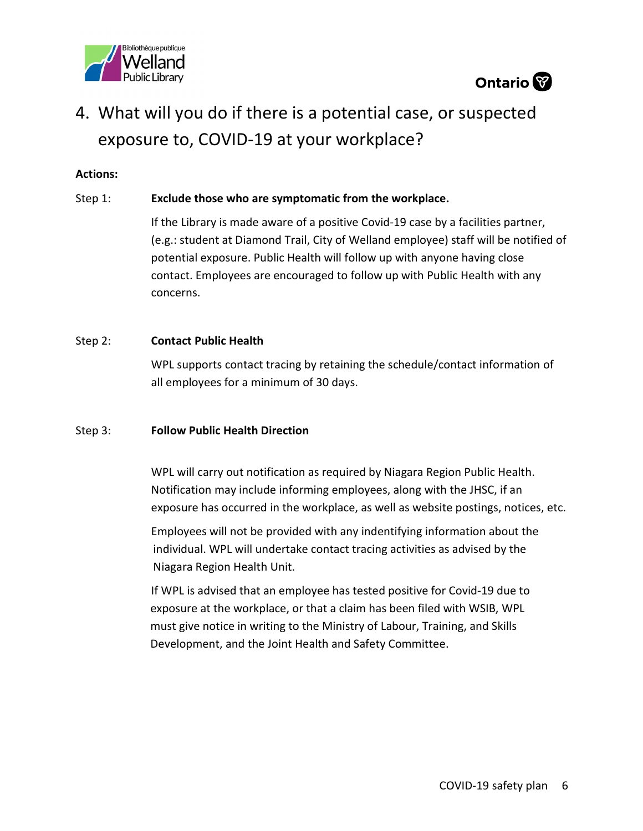



### 4. What will you do if there is a potential case, or suspected exposure to, COVID-19 at your workplace?

#### Actions:

#### Step 1: Exclude those who are symptomatic from the workplace.

 If the Library is made aware of a positive Covid-19 case by a facilities partner, (e.g.: student at Diamond Trail, City of Welland employee) staff will be notified of potential exposure. Public Health will follow up with anyone having close contact. Employees are encouraged to follow up with Public Health with any concerns.

#### Step 2: **Contact Public Health**

WPL supports contact tracing by retaining the schedule/contact information of all employees for a minimum of 30 days.

#### Step 3: Follow Public Health Direction

WPL will carry out notification as required by Niagara Region Public Health. Notification may include informing employees, along with the JHSC, if an exposure has occurred in the workplace, as well as website postings, notices, etc.

Employees will not be provided with any indentifying information about the individual. WPL will undertake contact tracing activities as advised by the Niagara Region Health Unit.

If WPL is advised that an employee has tested positive for Covid-19 due to exposure at the workplace, or that a claim has been filed with WSIB, WPL must give notice in writing to the Ministry of Labour, Training, and Skills Development, and the Joint Health and Safety Committee.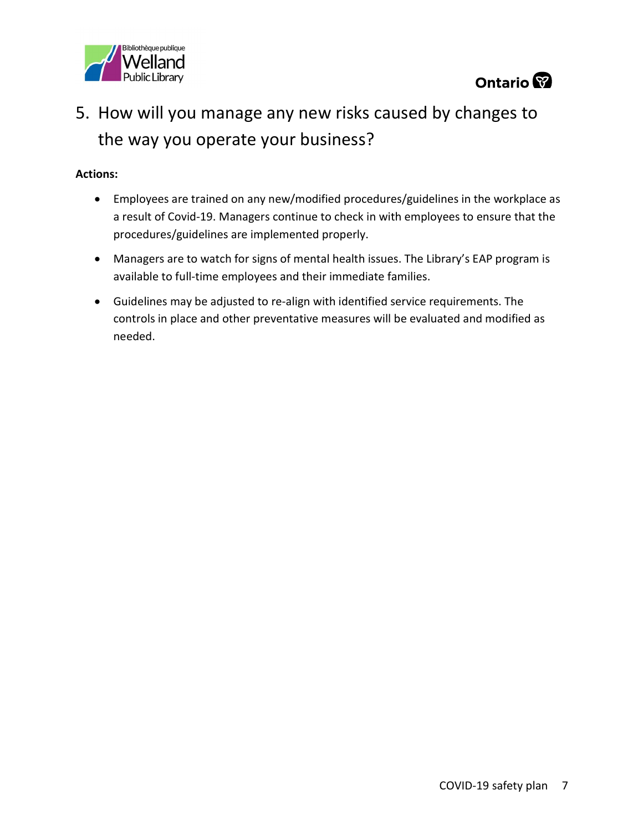



## 5. How will you manage any new risks caused by changes to the way you operate your business?

- Employees are trained on any new/modified procedures/guidelines in the workplace as a result of Covid-19. Managers continue to check in with employees to ensure that the procedures/guidelines are implemented properly.
- Managers are to watch for signs of mental health issues. The Library's EAP program is available to full-time employees and their immediate families.
- Guidelines may be adjusted to re-align with identified service requirements. The controls in place and other preventative measures will be evaluated and modified as needed.